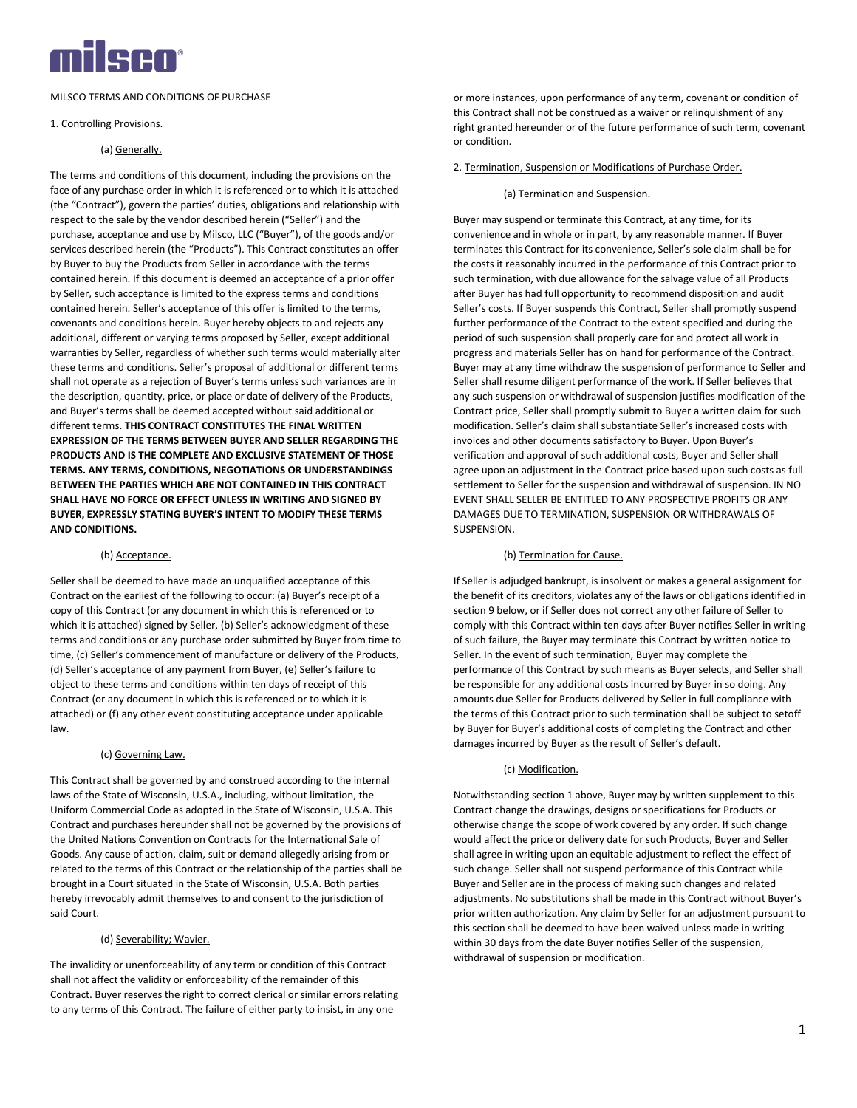

MILSCO TERMS AND CONDITIONS OF PURCHASE

## 1. Controlling Provisions.

## (a) Generally.

The terms and conditions of this document, including the provisions on the face of any purchase order in which it is referenced or to which it is attached (the "Contract"), govern the parties' duties, obligations and relationship with respect to the sale by the vendor described herein ("Seller") and the purchase, acceptance and use by Milsco, LLC ("Buyer"), of the goods and/or services described herein (the "Products"). This Contract constitutes an offer by Buyer to buy the Products from Seller in accordance with the terms contained herein. If this document is deemed an acceptance of a prior offer by Seller, such acceptance is limited to the express terms and conditions contained herein. Seller's acceptance of this offer is limited to the terms, covenants and conditions herein. Buyer hereby objects to and rejects any additional, different or varying terms proposed by Seller, except additional warranties by Seller, regardless of whether such terms would materially alter these terms and conditions. Seller's proposal of additional or different terms shall not operate as a rejection of Buyer's terms unless such variances are in the description, quantity, price, or place or date of delivery of the Products, and Buyer's terms shall be deemed accepted without said additional or different terms. **THIS CONTRACT CONSTITUTES THE FINAL WRITTEN EXPRESSION OF THE TERMS BETWEEN BUYER AND SELLER REGARDING THE PRODUCTS AND IS THE COMPLETE AND EXCLUSIVE STATEMENT OF THOSE TERMS. ANY TERMS, CONDITIONS, NEGOTIATIONS OR UNDERSTANDINGS BETWEEN THE PARTIES WHICH ARE NOT CONTAINED IN THIS CONTRACT SHALL HAVE NO FORCE OR EFFECT UNLESS IN WRITING AND SIGNED BY BUYER, EXPRESSLY STATING BUYER'S INTENT TO MODIFY THESE TERMS AND CONDITIONS.**

### (b) Acceptance.

Seller shall be deemed to have made an unqualified acceptance of this Contract on the earliest of the following to occur: (a) Buyer's receipt of a copy of this Contract (or any document in which this is referenced or to which it is attached) signed by Seller, (b) Seller's acknowledgment of these terms and conditions or any purchase order submitted by Buyer from time to time, (c) Seller's commencement of manufacture or delivery of the Products, (d) Seller's acceptance of any payment from Buyer, (e) Seller's failure to object to these terms and conditions within ten days of receipt of this Contract (or any document in which this is referenced or to which it is attached) or (f) any other event constituting acceptance under applicable law.

## (c) Governing Law.

This Contract shall be governed by and construed according to the internal laws of the State of Wisconsin, U.S.A., including, without limitation, the Uniform Commercial Code as adopted in the State of Wisconsin, U.S.A. This Contract and purchases hereunder shall not be governed by the provisions of the United Nations Convention on Contracts for the International Sale of Goods. Any cause of action, claim, suit or demand allegedly arising from or related to the terms of this Contract or the relationship of the parties shall be brought in a Court situated in the State of Wisconsin, U.S.A. Both parties hereby irrevocably admit themselves to and consent to the jurisdiction of said Court.

# (d) Severability; Wavier.

The invalidity or unenforceability of any term or condition of this Contract shall not affect the validity or enforceability of the remainder of this Contract. Buyer reserves the right to correct clerical or similar errors relating to any terms of this Contract. The failure of either party to insist, in any one

or more instances, upon performance of any term, covenant or condition of this Contract shall not be construed as a waiver or relinquishment of any right granted hereunder or of the future performance of such term, covenant or condition.

#### 2. Termination, Suspension or Modifications of Purchase Order.

#### (a) Termination and Suspension.

Buyer may suspend or terminate this Contract, at any time, for its convenience and in whole or in part, by any reasonable manner. If Buyer terminates this Contract for its convenience, Seller's sole claim shall be for the costs it reasonably incurred in the performance of this Contract prior to such termination, with due allowance for the salvage value of all Products after Buyer has had full opportunity to recommend disposition and audit Seller's costs. If Buyer suspends this Contract, Seller shall promptly suspend further performance of the Contract to the extent specified and during the period of such suspension shall properly care for and protect all work in progress and materials Seller has on hand for performance of the Contract. Buyer may at any time withdraw the suspension of performance to Seller and Seller shall resume diligent performance of the work. If Seller believes that any such suspension or withdrawal of suspension justifies modification of the Contract price, Seller shall promptly submit to Buyer a written claim for such modification. Seller's claim shall substantiate Seller's increased costs with invoices and other documents satisfactory to Buyer. Upon Buyer's verification and approval of such additional costs, Buyer and Seller shall agree upon an adjustment in the Contract price based upon such costs as full settlement to Seller for the suspension and withdrawal of suspension. IN NO EVENT SHALL SELLER BE ENTITLED TO ANY PROSPECTIVE PROFITS OR ANY DAMAGES DUE TO TERMINATION, SUSPENSION OR WITHDRAWALS OF SUSPENSION.

#### (b) Termination for Cause.

If Seller is adjudged bankrupt, is insolvent or makes a general assignment for the benefit of its creditors, violates any of the laws or obligations identified in section 9 below, or if Seller does not correct any other failure of Seller to comply with this Contract within ten days after Buyer notifies Seller in writing of such failure, the Buyer may terminate this Contract by written notice to Seller. In the event of such termination, Buyer may complete the performance of this Contract by such means as Buyer selects, and Seller shall be responsible for any additional costs incurred by Buyer in so doing. Any amounts due Seller for Products delivered by Seller in full compliance with the terms of this Contract prior to such termination shall be subject to setoff by Buyer for Buyer's additional costs of completing the Contract and other damages incurred by Buyer as the result of Seller's default.

#### (c) Modification.

Notwithstanding section 1 above, Buyer may by written supplement to this Contract change the drawings, designs or specifications for Products or otherwise change the scope of work covered by any order. If such change would affect the price or delivery date for such Products, Buyer and Seller shall agree in writing upon an equitable adjustment to reflect the effect of such change. Seller shall not suspend performance of this Contract while Buyer and Seller are in the process of making such changes and related adjustments. No substitutions shall be made in this Contract without Buyer's prior written authorization. Any claim by Seller for an adjustment pursuant to this section shall be deemed to have been waived unless made in writing within 30 days from the date Buyer notifies Seller of the suspension, withdrawal of suspension or modification.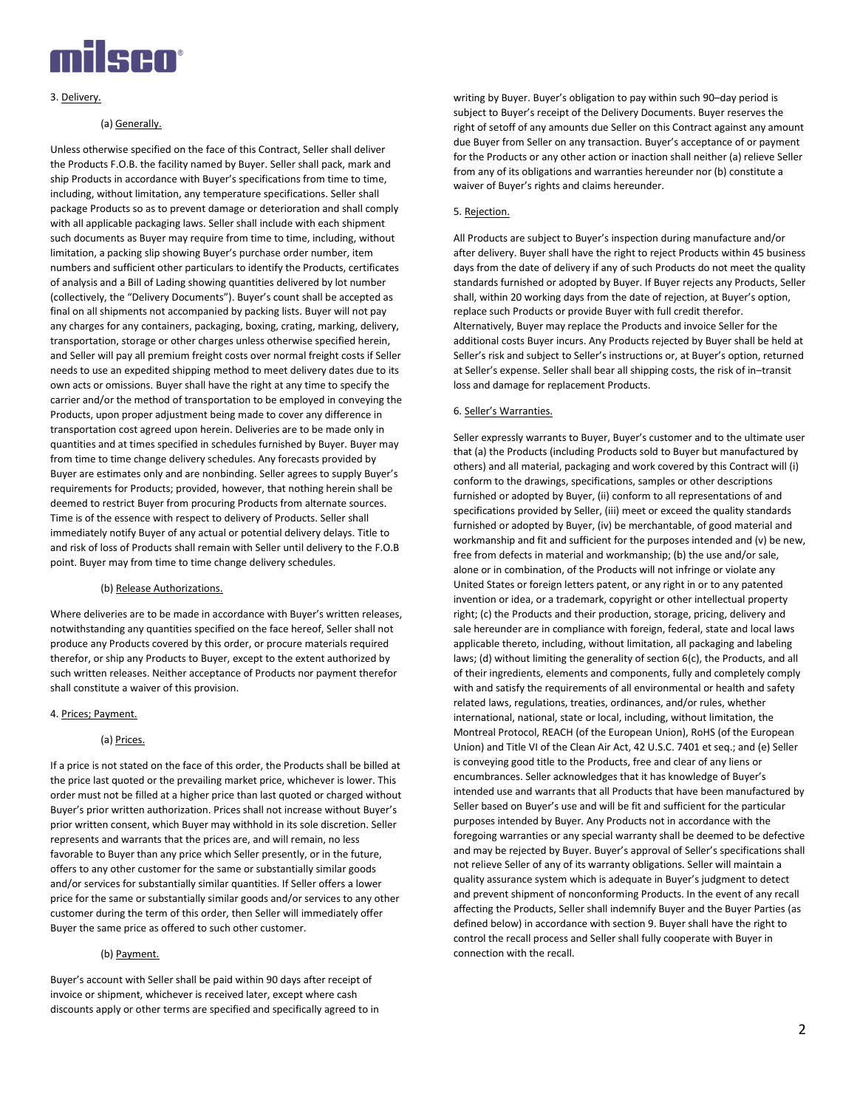

### 3. Delivery.

## (a) Generally.

Unless otherwise specified on the face of this Contract, Seller shall deliver the Products F.O.B. the facility named by Buyer. Seller shall pack, mark and ship Products in accordance with Buyer's specifications from time to time, including, without limitation, any temperature specifications. Seller shall package Products so as to prevent damage or deterioration and shall comply with all applicable packaging laws. Seller shall include with each shipment such documents as Buyer may require from time to time, including, without limitation, a packing slip showing Buyer's purchase order number, item numbers and sufficient other particulars to identify the Products, certificates of analysis and a Bill of Lading showing quantities delivered by lot number (collectively, the "Delivery Documents"). Buyer's count shall be accepted as final on all shipments not accompanied by packing lists. Buyer will not pay any charges for any containers, packaging, boxing, crating, marking, delivery, transportation, storage or other charges unless otherwise specified herein, and Seller will pay all premium freight costs over normal freight costs if Seller needs to use an expedited shipping method to meet delivery dates due to its own acts or omissions. Buyer shall have the right at any time to specify the carrier and/or the method of transportation to be employed in conveying the Products, upon proper adjustment being made to cover any difference in transportation cost agreed upon herein. Deliveries are to be made only in quantities and at times specified in schedules furnished by Buyer. Buyer may from time to time change delivery schedules. Any forecasts provided by Buyer are estimates only and are nonbinding. Seller agrees to supply Buyer's requirements for Products; provided, however, that nothing herein shall be deemed to restrict Buyer from procuring Products from alternate sources. Time is of the essence with respect to delivery of Products. Seller shall immediately notify Buyer of any actual or potential delivery delays. Title to and risk of loss of Products shall remain with Seller until delivery to the F.O.B point. Buyer may from time to time change delivery schedules.

### (b) Release Authorizations.

Where deliveries are to be made in accordance with Buyer's written releases, notwithstanding any quantities specified on the face hereof, Seller shall not produce any Products covered by this order, or procure materials required therefor, or ship any Products to Buyer, except to the extent authorized by such written releases. Neither acceptance of Products nor payment therefor shall constitute a waiver of this provision.

### 4. Prices; Payment.

### (a) Prices.

If a price is not stated on the face of this order, the Products shall be billed at the price last quoted or the prevailing market price, whichever is lower. This order must not be filled at a higher price than last quoted or charged without Buyer's prior written authorization. Prices shall not increase without Buyer's prior written consent, which Buyer may withhold in its sole discretion. Seller represents and warrants that the prices are, and will remain, no less favorable to Buyer than any price which Seller presently, or in the future, offers to any other customer for the same or substantially similar goods and/or services for substantially similar quantities. If Seller offers a lower price for the same or substantially similar goods and/or services to any other customer during the term of this order, then Seller will immediately offer Buyer the same price as offered to such other customer.

## (b) Payment.

Buyer's account with Seller shall be paid within 90 days after receipt of invoice or shipment, whichever is received later, except where cash discounts apply or other terms are specified and specifically agreed to in

writing by Buyer. Buyer's obligation to pay within such 90–day period is subject to Buyer's receipt of the Delivery Documents. Buyer reserves the right of setoff of any amounts due Seller on this Contract against any amount due Buyer from Seller on any transaction. Buyer's acceptance of or payment for the Products or any other action or inaction shall neither (a) relieve Seller from any of its obligations and warranties hereunder nor (b) constitute a waiver of Buyer's rights and claims hereunder.

#### 5. Rejection.

All Products are subject to Buyer's inspection during manufacture and/or after delivery. Buyer shall have the right to reject Products within 45 business days from the date of delivery if any of such Products do not meet the quality standards furnished or adopted by Buyer. If Buyer rejects any Products, Seller shall, within 20 working days from the date of rejection, at Buyer's option, replace such Products or provide Buyer with full credit therefor. Alternatively, Buyer may replace the Products and invoice Seller for the additional costs Buyer incurs. Any Products rejected by Buyer shall be held at Seller's risk and subject to Seller's instructions or, at Buyer's option, returned at Seller's expense. Seller shall bear all shipping costs, the risk of in–transit loss and damage for replacement Products.

#### 6. Seller's Warranties.

Seller expressly warrants to Buyer, Buyer's customer and to the ultimate user that (a) the Products (including Products sold to Buyer but manufactured by others) and all material, packaging and work covered by this Contract will (i) conform to the drawings, specifications, samples or other descriptions furnished or adopted by Buyer, (ii) conform to all representations of and specifications provided by Seller, (iii) meet or exceed the quality standards furnished or adopted by Buyer, (iv) be merchantable, of good material and workmanship and fit and sufficient for the purposes intended and (v) be new, free from defects in material and workmanship; (b) the use and/or sale, alone or in combination, of the Products will not infringe or violate any United States or foreign letters patent, or any right in or to any patented invention or idea, or a trademark, copyright or other intellectual property right; (c) the Products and their production, storage, pricing, delivery and sale hereunder are in compliance with foreign, federal, state and local laws applicable thereto, including, without limitation, all packaging and labeling laws; (d) without limiting the generality of section 6(c), the Products, and all of their ingredients, elements and components, fully and completely comply with and satisfy the requirements of all environmental or health and safety related laws, regulations, treaties, ordinances, and/or rules, whether international, national, state or local, including, without limitation, the Montreal Protocol, REACH (of the European Union), RoHS (of the European Union) and Title VI of the Clean Air Act, 42 U.S.C. 7401 et seq.; and (e) Seller is conveying good title to the Products, free and clear of any liens or encumbrances. Seller acknowledges that it has knowledge of Buyer's intended use and warrants that all Products that have been manufactured by Seller based on Buyer's use and will be fit and sufficient for the particular purposes intended by Buyer. Any Products not in accordance with the foregoing warranties or any special warranty shall be deemed to be defective and may be rejected by Buyer. Buyer's approval of Seller's specifications shall not relieve Seller of any of its warranty obligations. Seller will maintain a quality assurance system which is adequate in Buyer's judgment to detect and prevent shipment of nonconforming Products. In the event of any recall affecting the Products, Seller shall indemnify Buyer and the Buyer Parties (as defined below) in accordance with section 9. Buyer shall have the right to control the recall process and Seller shall fully cooperate with Buyer in connection with the recall.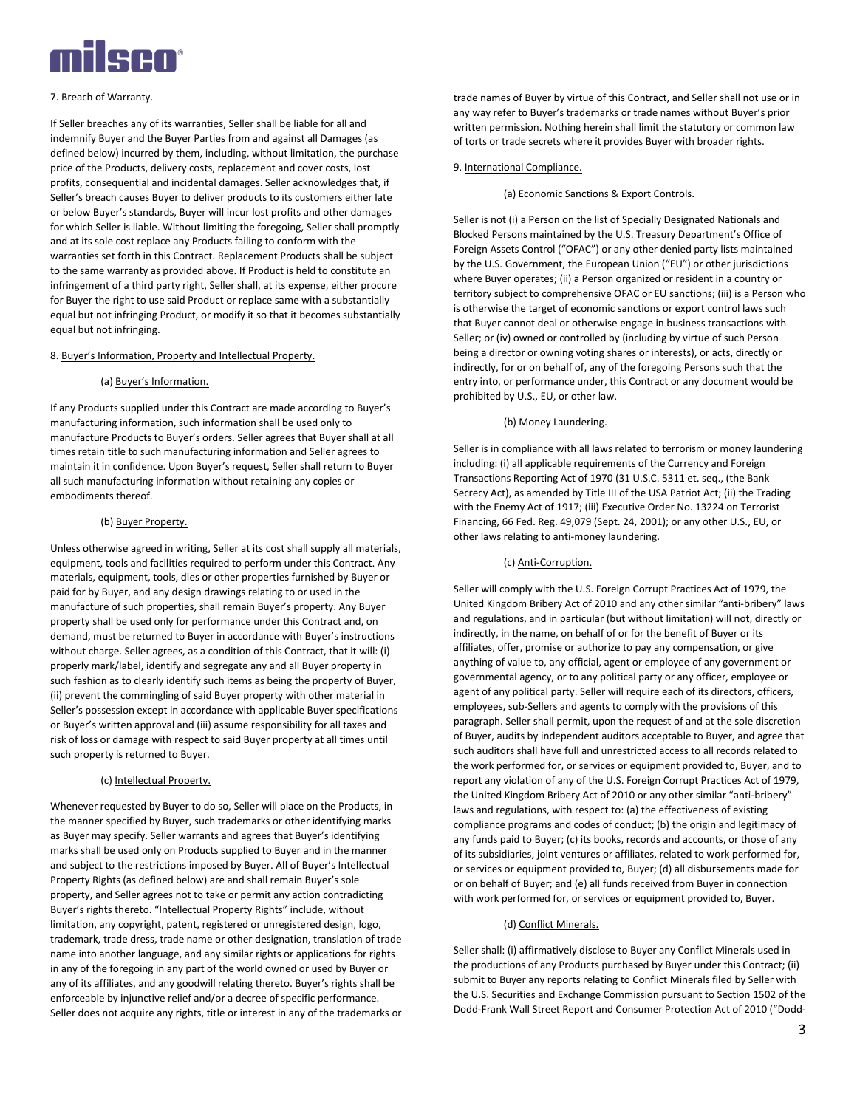

## 7. Breach of Warranty.

If Seller breaches any of its warranties, Seller shall be liable for all and indemnify Buyer and the Buyer Parties from and against all Damages (as defined below) incurred by them, including, without limitation, the purchase price of the Products, delivery costs, replacement and cover costs, lost profits, consequential and incidental damages. Seller acknowledges that, if Seller's breach causes Buyer to deliver products to its customers either late or below Buyer's standards, Buyer will incur lost profits and other damages for which Seller is liable. Without limiting the foregoing, Seller shall promptly and at its sole cost replace any Products failing to conform with the warranties set forth in this Contract. Replacement Products shall be subject to the same warranty as provided above. If Product is held to constitute an infringement of a third party right, Seller shall, at its expense, either procure for Buyer the right to use said Product or replace same with a substantially equal but not infringing Product, or modify it so that it becomes substantially equal but not infringing.

#### 8. Buyer's Information, Property and Intellectual Property.

#### (a) Buyer's Information.

If any Products supplied under this Contract are made according to Buyer's manufacturing information, such information shall be used only to manufacture Products to Buyer's orders. Seller agrees that Buyer shall at all times retain title to such manufacturing information and Seller agrees to maintain it in confidence. Upon Buyer's request, Seller shall return to Buyer all such manufacturing information without retaining any copies or embodiments thereof.

#### (b) Buyer Property.

Unless otherwise agreed in writing, Seller at its cost shall supply all materials, equipment, tools and facilities required to perform under this Contract. Any materials, equipment, tools, dies or other properties furnished by Buyer or paid for by Buyer, and any design drawings relating to or used in the manufacture of such properties, shall remain Buyer's property. Any Buyer property shall be used only for performance under this Contract and, on demand, must be returned to Buyer in accordance with Buyer's instructions without charge. Seller agrees, as a condition of this Contract, that it will: (i) properly mark/label, identify and segregate any and all Buyer property in such fashion as to clearly identify such items as being the property of Buyer, (ii) prevent the commingling of said Buyer property with other material in Seller's possession except in accordance with applicable Buyer specifications or Buyer's written approval and (iii) assume responsibility for all taxes and risk of loss or damage with respect to said Buyer property at all times until such property is returned to Buyer.

#### (c) Intellectual Property.

Whenever requested by Buyer to do so, Seller will place on the Products, in the manner specified by Buyer, such trademarks or other identifying marks as Buyer may specify. Seller warrants and agrees that Buyer's identifying marks shall be used only on Products supplied to Buyer and in the manner and subject to the restrictions imposed by Buyer. All of Buyer's Intellectual Property Rights (as defined below) are and shall remain Buyer's sole property, and Seller agrees not to take or permit any action contradicting Buyer's rights thereto. "Intellectual Property Rights" include, without limitation, any copyright, patent, registered or unregistered design, logo, trademark, trade dress, trade name or other designation, translation of trade name into another language, and any similar rights or applications for rights in any of the foregoing in any part of the world owned or used by Buyer or any of its affiliates, and any goodwill relating thereto. Buyer's rights shall be enforceable by injunctive relief and/or a decree of specific performance. Seller does not acquire any rights, title or interest in any of the trademarks or

trade names of Buyer by virtue of this Contract, and Seller shall not use or in any way refer to Buyer's trademarks or trade names without Buyer's prior written permission. Nothing herein shall limit the statutory or common law of torts or trade secrets where it provides Buyer with broader rights.

### 9. International Compliance.

### (a) Economic Sanctions & Export Controls.

Seller is not (i) a Person on the list of Specially Designated Nationals and Blocked Persons maintained by the U.S. Treasury Department's Office of Foreign Assets Control ("OFAC") or any other denied party lists maintained by the U.S. Government, the European Union ("EU") or other jurisdictions where Buyer operates; (ii) a Person organized or resident in a country or territory subject to comprehensive OFAC or EU sanctions; (iii) is a Person who is otherwise the target of economic sanctions or export control laws such that Buyer cannot deal or otherwise engage in business transactions with Seller; or (iv) owned or controlled by (including by virtue of such Person being a director or owning voting shares or interests), or acts, directly or indirectly, for or on behalf of, any of the foregoing Persons such that the entry into, or performance under, this Contract or any document would be prohibited by U.S., EU, or other law.

#### (b) Money Laundering.

Seller is in compliance with all laws related to terrorism or money laundering including: (i) all applicable requirements of the Currency and Foreign Transactions Reporting Act of 1970 (31 U.S.C. 5311 et. seq., (the Bank Secrecy Act), as amended by Title III of the USA Patriot Act; (ii) the Trading with the Enemy Act of 1917; (iii) Executive Order No. 13224 on Terrorist Financing, 66 Fed. Reg. 49,079 (Sept. 24, 2001); or any other U.S., EU, or other laws relating to anti-money laundering.

### (c) Anti-Corruption.

Seller will comply with the U.S. Foreign Corrupt Practices Act of 1979, the United Kingdom Bribery Act of 2010 and any other similar "anti-bribery" laws and regulations, and in particular (but without limitation) will not, directly or indirectly, in the name, on behalf of or for the benefit of Buyer or its affiliates, offer, promise or authorize to pay any compensation, or give anything of value to, any official, agent or employee of any government or governmental agency, or to any political party or any officer, employee or agent of any political party. Seller will require each of its directors, officers, employees, sub-Sellers and agents to comply with the provisions of this paragraph. Seller shall permit, upon the request of and at the sole discretion of Buyer, audits by independent auditors acceptable to Buyer, and agree that such auditors shall have full and unrestricted access to all records related to the work performed for, or services or equipment provided to, Buyer, and to report any violation of any of the U.S. Foreign Corrupt Practices Act of 1979, the United Kingdom Bribery Act of 2010 or any other similar "anti-bribery" laws and regulations, with respect to: (a) the effectiveness of existing compliance programs and codes of conduct; (b) the origin and legitimacy of any funds paid to Buyer; (c) its books, records and accounts, or those of any of its subsidiaries, joint ventures or affiliates, related to work performed for, or services or equipment provided to, Buyer; (d) all disbursements made for or on behalf of Buyer; and (e) all funds received from Buyer in connection with work performed for, or services or equipment provided to, Buyer.

## (d) Conflict Minerals.

Seller shall: (i) affirmatively disclose to Buyer any Conflict Minerals used in the productions of any Products purchased by Buyer under this Contract; (ii) submit to Buyer any reports relating to Conflict Minerals filed by Seller with the U.S. Securities and Exchange Commission pursuant to Section 1502 of the Dodd-Frank Wall Street Report and Consumer Protection Act of 2010 ("Dodd-